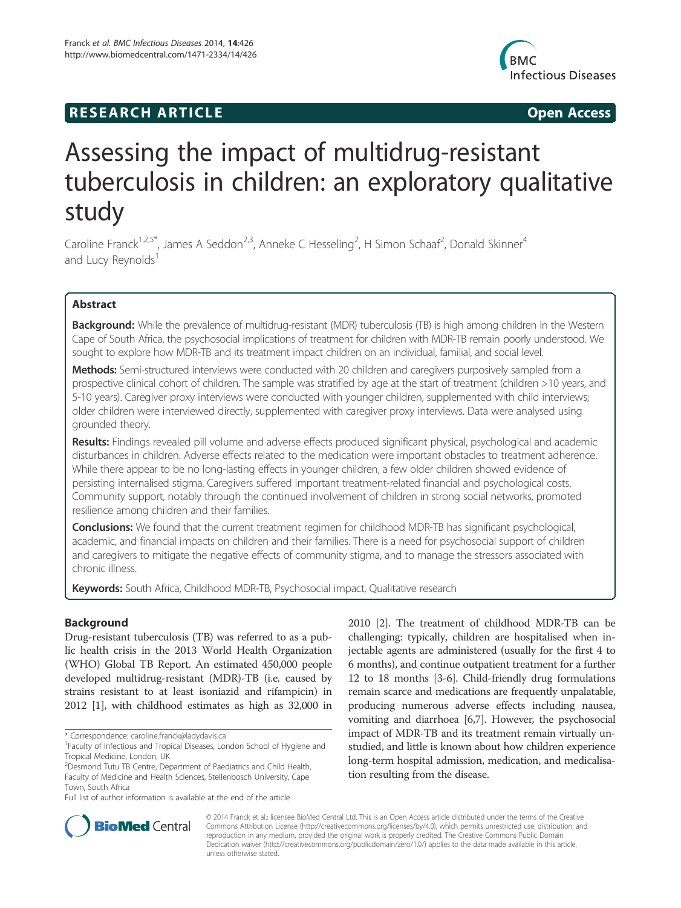# **RESEARCH ARTICLE Example 2014 CONSIDERING CONSIDERING CONSIDERING CONSIDERING CONSIDERING CONSIDERING CONSIDERING CONSIDERING CONSIDERING CONSIDERING CONSIDERING CONSIDERING CONSIDERING CONSIDERING CONSIDERING CONSIDE**



# Assessing the impact of multidrug-resistant tuberculosis in children: an exploratory qualitative study

Caroline Franck<sup>1,2,5\*</sup>, James A Seddon<sup>2,3</sup>, Anneke C Hesseling<sup>2</sup>, H Simon Schaaf<sup>2</sup>, Donald Skinner<sup>4</sup> and Lucy Reynolds<sup>1</sup>

# Abstract

**Background:** While the prevalence of multidrug-resistant (MDR) tuberculosis (TB) is high among children in the Western Cape of South Africa, the psychosocial implications of treatment for children with MDR-TB remain poorly understood. We sought to explore how MDR-TB and its treatment impact children on an individual, familial, and social level.

Methods: Semi-structured interviews were conducted with 20 children and caregivers purposively sampled from a prospective clinical cohort of children. The sample was stratified by age at the start of treatment (children >10 years, and 5-10 years). Caregiver proxy interviews were conducted with younger children, supplemented with child interviews; older children were interviewed directly, supplemented with caregiver proxy interviews. Data were analysed using grounded theory.

Results: Findings revealed pill volume and adverse effects produced significant physical, psychological and academic disturbances in children. Adverse effects related to the medication were important obstacles to treatment adherence. While there appear to be no long-lasting effects in younger children, a few older children showed evidence of persisting internalised stigma. Caregivers suffered important treatment-related financial and psychological costs. Community support, notably through the continued involvement of children in strong social networks, promoted resilience among children and their families.

Conclusions: We found that the current treatment regimen for childhood MDR-TB has significant psychological, academic, and financial impacts on children and their families. There is a need for psychosocial support of children and caregivers to mitigate the negative effects of community stigma, and to manage the stressors associated with chronic illness.

Keywords: South Africa, Childhood MDR-TB, Psychosocial impact, Qualitative research

# Background

Drug-resistant tuberculosis (TB) was referred to as a public health crisis in the 2013 World Health Organization (WHO) Global TB Report. An estimated 450,000 people developed multidrug-resistant (MDR)-TB (i.e. caused by strains resistant to at least isoniazid and rifampicin) in 2012 [1], with childhood estimates as high as 32,000 in

2010 [2]. The treatment of childhood MDR-TB can be challenging: typically, children are hospitalised when injectable agents are administered (usually for the first 4 to 6 months), and continue outpatient treatment for a further 12 to 18 months [3-6]. Child-friendly drug formulations remain scarce and medications are frequently unpalatable, producing numerous adverse effects including nausea, vomiting and diarrhoea [6,7]. However, the psychosocial impact of MDR-TB and its treatment remain virtually unstudied, and little is known about how children experience long-term hospital admission, medication, and medicalisation resulting from the disease.



© 2014 Franck et al.; licensee BioMed Central Ltd. This is an Open Access article distributed under the terms of the Creative Commons Attribution License (http://creativecommons.org/licenses/by/4.0), which permits unrestricted use, distribution, and reproduction in any medium, provided the original work is properly credited. The Creative Commons Public Domain Dedication waiver (http://creativecommons.org/publicdomain/zero/1.0/) applies to the data made available in this article, unless otherwise stated.

<sup>\*</sup> Correspondence: caroline.franck@ladydavis.ca <sup>1</sup>

<sup>&</sup>lt;sup>1</sup> Faculty of Infectious and Tropical Diseases, London School of Hygiene and Tropical Medicine, London, UK

<sup>&</sup>lt;sup>2</sup> Desmond Tutu TB Centre, Department of Paediatrics and Child Health, Faculty of Medicine and Health Sciences, Stellenbosch University, Cape Town, South Africa

Full list of author information is available at the end of the article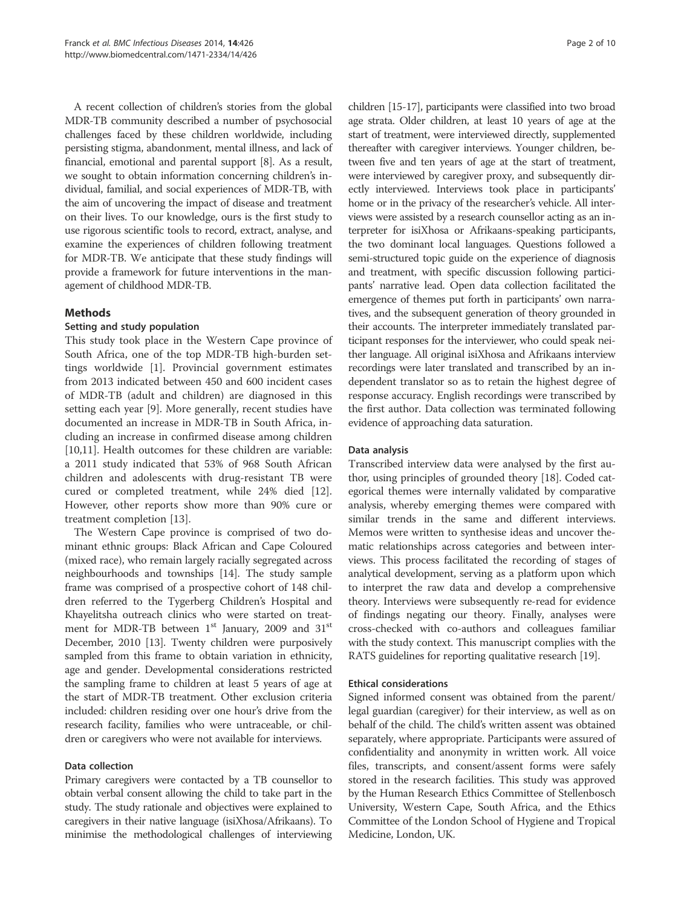A recent collection of children's stories from the global MDR-TB community described a number of psychosocial challenges faced by these children worldwide, including persisting stigma, abandonment, mental illness, and lack of financial, emotional and parental support [8]. As a result, we sought to obtain information concerning children's individual, familial, and social experiences of MDR-TB, with the aim of uncovering the impact of disease and treatment on their lives. To our knowledge, ours is the first study to use rigorous scientific tools to record, extract, analyse, and examine the experiences of children following treatment for MDR-TB. We anticipate that these study findings will provide a framework for future interventions in the management of childhood MDR-TB.

# Methods

# Setting and study population

This study took place in the Western Cape province of South Africa, one of the top MDR-TB high-burden settings worldwide [1]. Provincial government estimates from 2013 indicated between 450 and 600 incident cases of MDR-TB (adult and children) are diagnosed in this setting each year [9]. More generally, recent studies have documented an increase in MDR-TB in South Africa, including an increase in confirmed disease among children [10,11]. Health outcomes for these children are variable: a 2011 study indicated that 53% of 968 South African children and adolescents with drug-resistant TB were cured or completed treatment, while 24% died [12]. However, other reports show more than 90% cure or treatment completion [13].

The Western Cape province is comprised of two dominant ethnic groups: Black African and Cape Coloured (mixed race), who remain largely racially segregated across neighbourhoods and townships [14]. The study sample frame was comprised of a prospective cohort of 148 children referred to the Tygerberg Children's Hospital and Khayelitsha outreach clinics who were started on treatment for MDR-TB between  $1<sup>st</sup>$  January, 2009 and 31 $<sup>st</sup>$ </sup> December, 2010 [13]. Twenty children were purposively sampled from this frame to obtain variation in ethnicity, age and gender. Developmental considerations restricted the sampling frame to children at least 5 years of age at the start of MDR-TB treatment. Other exclusion criteria included: children residing over one hour's drive from the research facility, families who were untraceable, or children or caregivers who were not available for interviews.

# Data collection

Primary caregivers were contacted by a TB counsellor to obtain verbal consent allowing the child to take part in the study. The study rationale and objectives were explained to caregivers in their native language (isiXhosa/Afrikaans). To minimise the methodological challenges of interviewing children [15-17], participants were classified into two broad age strata. Older children, at least 10 years of age at the start of treatment, were interviewed directly, supplemented thereafter with caregiver interviews. Younger children, between five and ten years of age at the start of treatment, were interviewed by caregiver proxy, and subsequently directly interviewed. Interviews took place in participants' home or in the privacy of the researcher's vehicle. All interviews were assisted by a research counsellor acting as an interpreter for isiXhosa or Afrikaans-speaking participants, the two dominant local languages. Questions followed a semi-structured topic guide on the experience of diagnosis and treatment, with specific discussion following participants' narrative lead. Open data collection facilitated the emergence of themes put forth in participants' own narratives, and the subsequent generation of theory grounded in their accounts. The interpreter immediately translated participant responses for the interviewer, who could speak neither language. All original isiXhosa and Afrikaans interview recordings were later translated and transcribed by an independent translator so as to retain the highest degree of response accuracy. English recordings were transcribed by the first author. Data collection was terminated following evidence of approaching data saturation.

#### Data analysis

Transcribed interview data were analysed by the first author, using principles of grounded theory [18]. Coded categorical themes were internally validated by comparative analysis, whereby emerging themes were compared with similar trends in the same and different interviews. Memos were written to synthesise ideas and uncover thematic relationships across categories and between interviews. This process facilitated the recording of stages of analytical development, serving as a platform upon which to interpret the raw data and develop a comprehensive theory. Interviews were subsequently re-read for evidence of findings negating our theory. Finally, analyses were cross-checked with co-authors and colleagues familiar with the study context. This manuscript complies with the RATS guidelines for reporting qualitative research [19].

#### Ethical considerations

Signed informed consent was obtained from the parent/ legal guardian (caregiver) for their interview, as well as on behalf of the child. The child's written assent was obtained separately, where appropriate. Participants were assured of confidentiality and anonymity in written work. All voice files, transcripts, and consent/assent forms were safely stored in the research facilities. This study was approved by the Human Research Ethics Committee of Stellenbosch University, Western Cape, South Africa, and the Ethics Committee of the London School of Hygiene and Tropical Medicine, London, UK.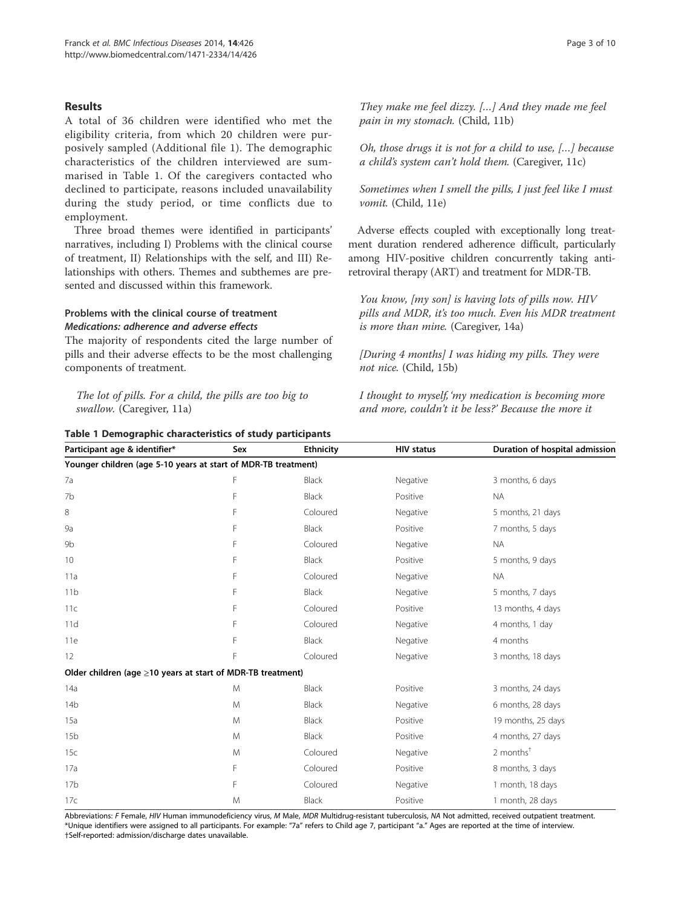## Results

A total of 36 children were identified who met the eligibility criteria, from which 20 children were purposively sampled (Additional file 1). The demographic characteristics of the children interviewed are summarised in Table 1. Of the caregivers contacted who declined to participate, reasons included unavailability during the study period, or time conflicts due to employment.

Three broad themes were identified in participants' narratives, including I) Problems with the clinical course of treatment, II) Relationships with the self, and III) Relationships with others. Themes and subthemes are presented and discussed within this framework.

## Problems with the clinical course of treatment Medications: adherence and adverse effects

The majority of respondents cited the large number of pills and their adverse effects to be the most challenging components of treatment.

The lot of pills. For a child, the pills are too big to swallow. (Caregiver, 11a)

They make me feel dizzy. […] And they made me feel pain in my stomach. (Child, 11b)

Oh, those drugs it is not for a child to use, […] because a child's system can't hold them. (Caregiver, 11c)

Sometimes when I smell the pills, I just feel like I must vomit. (Child, 11e)

Adverse effects coupled with exceptionally long treatment duration rendered adherence difficult, particularly among HIV-positive children concurrently taking antiretroviral therapy (ART) and treatment for MDR-TB.

You know, [my son] is having lots of pills now. HIV pills and MDR, it's too much. Even his MDR treatment is more than mine. (Caregiver, 14a)

[During 4 months] I was hiding my pills. They were not nice. (Child, 15b)

I thought to myself, 'my medication is becoming more and more, couldn't it be less?' Because the more it

| Participant age & identifier*                                  | Sex | <b>Ethnicity</b> | <b>HIV status</b> | Duration of hospital admission |
|----------------------------------------------------------------|-----|------------------|-------------------|--------------------------------|
| Younger children (age 5-10 years at start of MDR-TB treatment) |     |                  |                   |                                |
| 7a                                                             | F   | <b>Black</b>     | Negative          | 3 months, 6 days               |
| 7b                                                             | F   | Black            | Positive          | <b>NA</b>                      |
| 8                                                              | F   | Coloured         | Negative          | 5 months, 21 days              |
| 9a                                                             | F   | Black            | Positive          | 7 months, 5 days               |
| 9b                                                             | F   | Coloured         | Negative          | <b>NA</b>                      |
| 10                                                             | F   | Black            | Positive          | 5 months, 9 days               |
| 11a                                                            | F   | Coloured         | Negative          | <b>NA</b>                      |
| 11 <sub>b</sub>                                                | F   | Black            | Negative          | 5 months, 7 days               |
| 11c                                                            | F   | Coloured         | Positive          | 13 months, 4 days              |
| 11d                                                            | F   | Coloured         | Negative          | 4 months, 1 day                |
| 11e                                                            | F   | Black            | Negative          | 4 months                       |
| 12                                                             | F   | Coloured         | Negative          | 3 months, 18 days              |
| Older children (age ≥10 years at start of MDR-TB treatment)    |     |                  |                   |                                |
| 14a                                                            | M   | <b>Black</b>     | Positive          | 3 months, 24 days              |
| 14 <sub>b</sub>                                                | M   | <b>Black</b>     | Negative          | 6 months, 28 days              |
| 15a                                                            | M   | <b>Black</b>     | Positive          | 19 months, 25 days             |
| 15 <sub>b</sub>                                                | M   | Black            | Positive          | 4 months, 27 days              |
| 15c                                                            | M   | Coloured         | Negative          | 2 months $†$                   |
| 17a                                                            | F   | Coloured         | Positive          | 8 months, 3 days               |
| 17 <sub>b</sub>                                                | F   | Coloured         | Negative          | 1 month, 18 days               |
| 17c                                                            | M   | Black            | Positive          | 1 month, 28 days               |

Abbreviations: F Female, HIV Human immunodeficiency virus, M Male, MDR Multidrug-resistant tuberculosis, NA Not admitted, received outpatient treatment. \*Unique identifiers were assigned to all participants. For example: "7a" refers to Child age 7, participant "a." Ages are reported at the time of interview. †Self-reported: admission/discharge dates unavailable.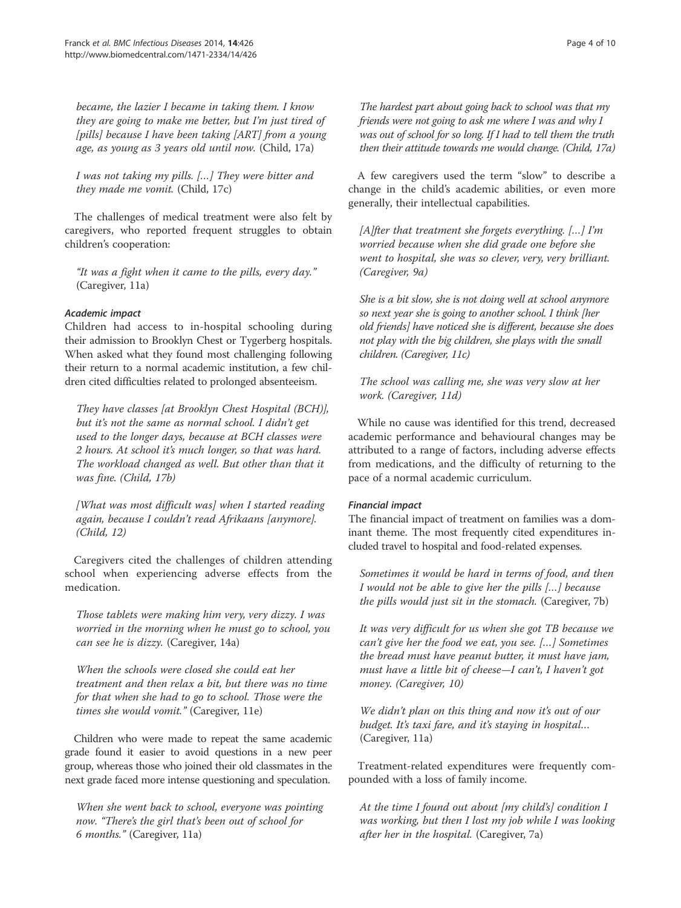became, the lazier I became in taking them. I know they are going to make me better, but I'm just tired of [pills] because I have been taking [ART] from a young age, as young as 3 years old until now. (Child, 17a)

I was not taking my pills. […] They were bitter and they made me vomit. (Child, 17c)

The challenges of medical treatment were also felt by caregivers, who reported frequent struggles to obtain children's cooperation:

"It was a fight when it came to the pills, every day." (Caregiver, 11a)

# Academic impact

Children had access to in-hospital schooling during their admission to Brooklyn Chest or Tygerberg hospitals. When asked what they found most challenging following their return to a normal academic institution, a few children cited difficulties related to prolonged absenteeism.

They have classes [at Brooklyn Chest Hospital (BCH)], but it's not the same as normal school. I didn't get used to the longer days, because at BCH classes were 2 hours. At school it's much longer, so that was hard. The workload changed as well. But other than that it was fine. (Child, 17b)

[What was most difficult was] when I started reading again, because I couldn't read Afrikaans [anymore]. (Child, 12)

Caregivers cited the challenges of children attending school when experiencing adverse effects from the medication.

Those tablets were making him very, very dizzy. I was worried in the morning when he must go to school, you can see he is dizzy. (Caregiver, 14a)

When the schools were closed she could eat her treatment and then relax a bit, but there was no time for that when she had to go to school. Those were the times she would vomit." (Caregiver, 11e)

Children who were made to repeat the same academic grade found it easier to avoid questions in a new peer group, whereas those who joined their old classmates in the next grade faced more intense questioning and speculation.

When she went back to school, everyone was pointing now. "There's the girl that's been out of school for 6 months." (Caregiver, 11a)

The hardest part about going back to school was that my friends were not going to ask me where I was and why I was out of school for so long. If I had to tell them the truth then their attitude towards me would change. (Child, 17a)

A few caregivers used the term "slow" to describe a change in the child's academic abilities, or even more generally, their intellectual capabilities.

[A]fter that treatment she forgets everything. […] I'm worried because when she did grade one before she went to hospital, she was so clever, very, very brilliant. (Caregiver, 9a)

She is a bit slow, she is not doing well at school anymore so next year she is going to another school. I think [her old friends] have noticed she is different, because she does not play with the big children, she plays with the small children. (Caregiver, 11c)

The school was calling me, she was very slow at her work. (Caregiver, 11d)

While no cause was identified for this trend, decreased academic performance and behavioural changes may be attributed to a range of factors, including adverse effects from medications, and the difficulty of returning to the pace of a normal academic curriculum.

#### Financial impact

The financial impact of treatment on families was a dominant theme. The most frequently cited expenditures included travel to hospital and food-related expenses.

Sometimes it would be hard in terms of food, and then I would not be able to give her the pills […] because the pills would just sit in the stomach. (Caregiver, 7b)

It was very difficult for us when she got TB because we can't give her the food we eat, you see. […] Sometimes the bread must have peanut butter, it must have jam, must have a little bit of cheese—I can't, I haven't got money. (Caregiver, 10)

We didn't plan on this thing and now it's out of our budget. It's taxi fare, and it's staying in hospital… (Caregiver, 11a)

Treatment-related expenditures were frequently compounded with a loss of family income.

At the time I found out about [my child's] condition I was working, but then I lost my job while I was looking after her in the hospital. (Caregiver, 7a)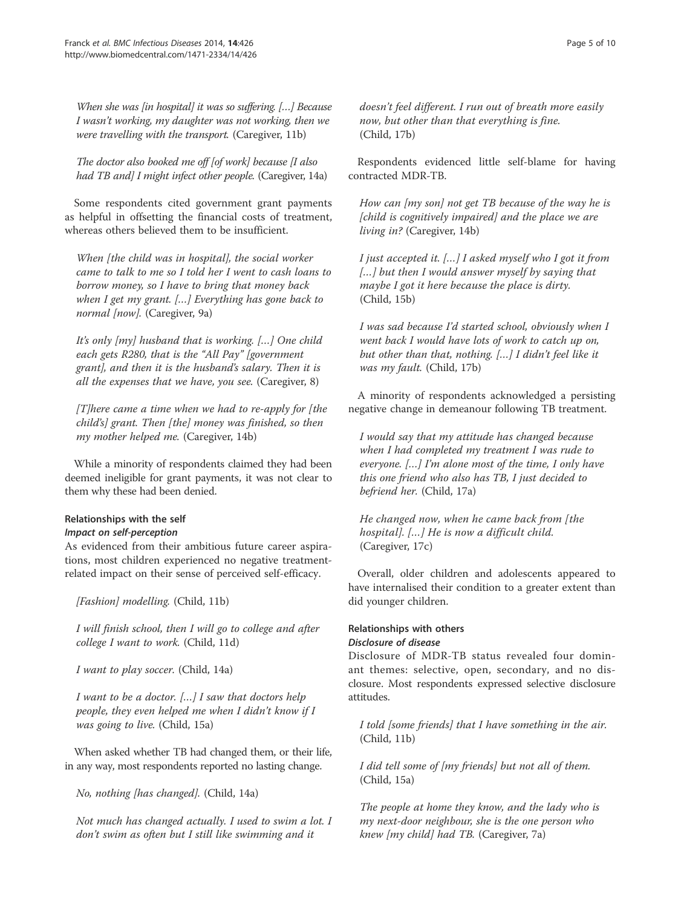When she was [in hospital] it was so suffering. […] Because I wasn't working, my daughter was not working, then we were travelling with the transport. (Caregiver, 11b)

The doctor also booked me off [of work] because [I also had TB and] I might infect other people. (Caregiver, 14a)

Some respondents cited government grant payments as helpful in offsetting the financial costs of treatment, whereas others believed them to be insufficient.

When [the child was in hospital], the social worker came to talk to me so I told her I went to cash loans to borrow money, so I have to bring that money back when I get my grant. […] Everything has gone back to normal [now]. (Caregiver, 9a)

It's only [my] husband that is working. [...] One child each gets R280, that is the "All Pay" [government grant], and then it is the husband's salary. Then it is all the expenses that we have, you see. (Caregiver, 8)

 $[T]$ here came a time when we had to re-apply for [the child's] grant. Then [the] money was finished, so then my mother helped me. (Caregiver, 14b)

While a minority of respondents claimed they had been deemed ineligible for grant payments, it was not clear to them why these had been denied.

# Relationships with the self

# Impact on self-perception

As evidenced from their ambitious future career aspirations, most children experienced no negative treatmentrelated impact on their sense of perceived self-efficacy.

[Fashion] modelling. (Child, 11b)

I will finish school, then I will go to college and after college I want to work. (Child, 11d)

I want to play soccer. (Child, 14a)

I want to be a doctor. […] I saw that doctors help people, they even helped me when I didn't know if I was going to live. (Child, 15a)

When asked whether TB had changed them, or their life, in any way, most respondents reported no lasting change.

No, nothing [has changed]. (Child, 14a)

Not much has changed actually. I used to swim a lot. I don't swim as often but I still like swimming and it

doesn't feel different. I run out of breath more easily now, but other than that everything is fine. (Child, 17b)

Respondents evidenced little self-blame for having contracted MDR-TB.

How can [my son] not get TB because of the way he is [child is cognitively impaired] and the place we are living in? (Caregiver, 14b)

I just accepted it. […] I asked myself who I got it from [...] but then I would answer myself by saying that maybe I got it here because the place is dirty. (Child, 15b)

I was sad because I'd started school, obviously when I went back I would have lots of work to catch up on, but other than that, nothing. […] I didn't feel like it was my fault. (Child, 17b)

A minority of respondents acknowledged a persisting negative change in demeanour following TB treatment.

I would say that my attitude has changed because when I had completed my treatment I was rude to everyone. […] I'm alone most of the time, I only have this one friend who also has TB, I just decided to befriend her. (Child, 17a)

He changed now, when he came back from [the hospital]. [...] He is now a difficult child. (Caregiver, 17c)

Overall, older children and adolescents appeared to have internalised their condition to a greater extent than did younger children.

#### Relationships with others Disclosure of disease

Disclosure of MDR-TB status revealed four dominant themes: selective, open, secondary, and no disclosure. Most respondents expressed selective disclosure attitudes.

I told [some friends] that I have something in the air. (Child, 11b)

I did tell some of [my friends] but not all of them. (Child, 15a)

The people at home they know, and the lady who is my next-door neighbour, she is the one person who knew [my child] had TB. (Caregiver, 7a)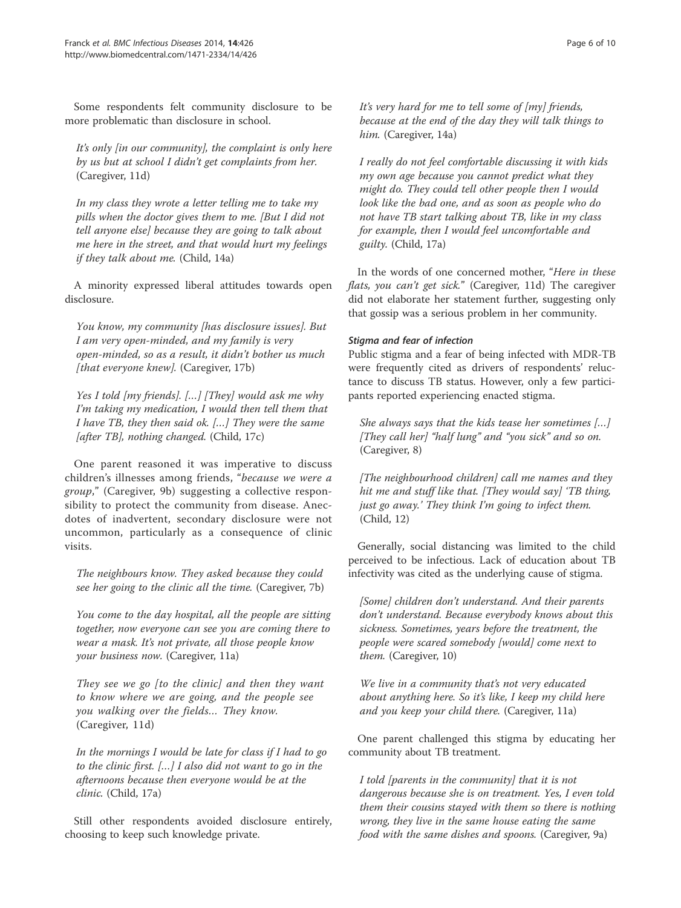Some respondents felt community disclosure to be more problematic than disclosure in school.

It's only *fin our community]*, the complaint is only here by us but at school I didn't get complaints from her. (Caregiver, 11d)

In my class they wrote a letter telling me to take my pills when the doctor gives them to me. [But I did not tell anyone else] because they are going to talk about me here in the street, and that would hurt my feelings if they talk about me. (Child, 14a)

A minority expressed liberal attitudes towards open disclosure.

You know, my community [has disclosure issues]. But I am very open-minded, and my family is very open-minded, so as a result, it didn't bother us much [that everyone knew]. (Caregiver, 17b)

Yes I told  $[my$  friends].  $[...]$  [They] would ask me why I'm taking my medication, I would then tell them that I have TB, they then said ok. […] They were the same [after TB], nothing changed. (Child, 17c)

One parent reasoned it was imperative to discuss children's illnesses among friends, "because we were a group," (Caregiver, 9b) suggesting a collective responsibility to protect the community from disease. Anecdotes of inadvertent, secondary disclosure were not uncommon, particularly as a consequence of clinic visits.

The neighbours know. They asked because they could see her going to the clinic all the time. (Caregiver, 7b)

You come to the day hospital, all the people are sitting together, now everyone can see you are coming there to wear a mask. It's not private, all those people know your business now. (Caregiver, 11a)

They see we go [to the clinic] and then they want to know where we are going, and the people see you walking over the fields… They know. (Caregiver, 11d)

In the mornings I would be late for class if I had to go to the clinic first. […] I also did not want to go in the afternoons because then everyone would be at the clinic. (Child, 17a)

Still other respondents avoided disclosure entirely, choosing to keep such knowledge private.

It's very hard for me to tell some of  $[my]$  friends, because at the end of the day they will talk things to him. (Caregiver, 14a)

I really do not feel comfortable discussing it with kids my own age because you cannot predict what they might do. They could tell other people then I would look like the bad one, and as soon as people who do not have TB start talking about TB, like in my class for example, then I would feel uncomfortable and guilty. (Child, 17a)

In the words of one concerned mother, "Here in these flats, you can't get sick." (Caregiver, 11d) The caregiver did not elaborate her statement further, suggesting only that gossip was a serious problem in her community.

# Stigma and fear of infection

Public stigma and a fear of being infected with MDR-TB were frequently cited as drivers of respondents' reluctance to discuss TB status. However, only a few participants reported experiencing enacted stigma.

She always says that the kids tease her sometimes […] [They call her] "half lung" and "you sick" and so on. (Caregiver, 8)

[The neighbourhood children] call me names and they hit me and stuff like that. [They would say] 'TB thing, just go away.' They think I'm going to infect them. (Child, 12)

Generally, social distancing was limited to the child perceived to be infectious. Lack of education about TB infectivity was cited as the underlying cause of stigma.

[Some] children don't understand. And their parents don't understand. Because everybody knows about this sickness. Sometimes, years before the treatment, the people were scared somebody [would] come next to them. (Caregiver, 10)

We live in a community that's not very educated about anything here. So it's like, I keep my child here and you keep your child there. (Caregiver, 11a)

One parent challenged this stigma by educating her community about TB treatment.

I told [parents in the community] that it is not dangerous because she is on treatment. Yes, I even told them their cousins stayed with them so there is nothing wrong, they live in the same house eating the same food with the same dishes and spoons. (Caregiver, 9a)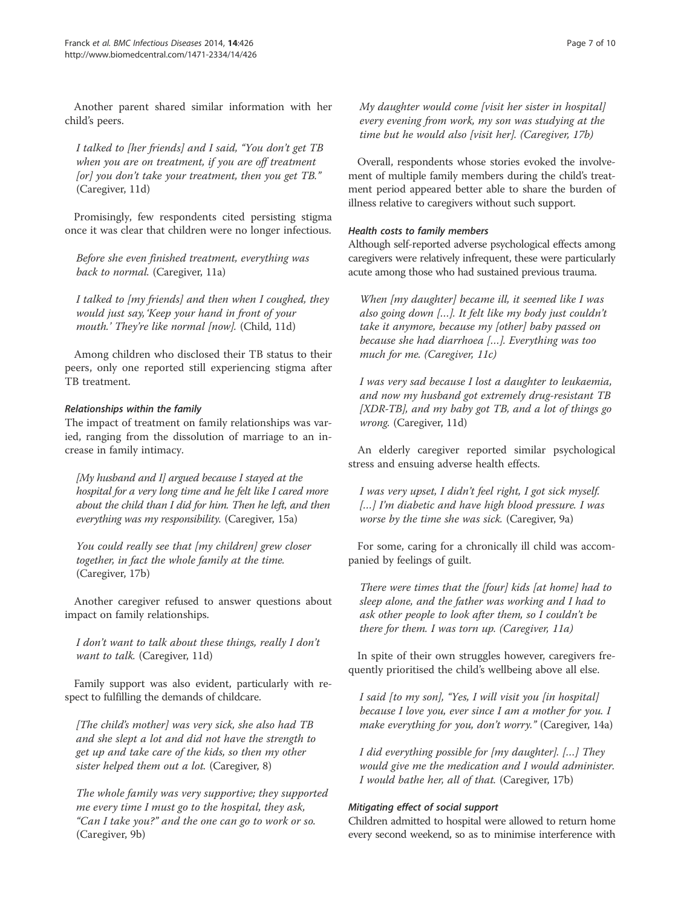Another parent shared similar information with her child's peers.

I talked to [her friends] and I said, "You don't get TB when you are on treatment, if you are off treatment  $[or]$  you don't take your treatment, then you get TB." (Caregiver, 11d)

Promisingly, few respondents cited persisting stigma once it was clear that children were no longer infectious.

Before she even finished treatment, everything was back to normal. (Caregiver, 11a)

I talked to [my friends] and then when I coughed, they would just say, 'Keep your hand in front of your mouth.' They're like normal [now]. (Child, 11d)

Among children who disclosed their TB status to their peers, only one reported still experiencing stigma after TB treatment.

#### Relationships within the family

The impact of treatment on family relationships was varied, ranging from the dissolution of marriage to an increase in family intimacy.

[My husband and I] argued because I stayed at the hospital for a very long time and he felt like I cared more about the child than I did for him. Then he left, and then everything was my responsibility. (Caregiver, 15a)

You could really see that [my children] grew closer together, in fact the whole family at the time. (Caregiver, 17b)

Another caregiver refused to answer questions about impact on family relationships.

I don't want to talk about these things, really I don't want to talk. (Caregiver, 11d)

Family support was also evident, particularly with respect to fulfilling the demands of childcare.

[The child's mother] was very sick, she also had TB and she slept a lot and did not have the strength to get up and take care of the kids, so then my other sister helped them out a lot. (Caregiver, 8)

The whole family was very supportive; they supported me every time I must go to the hospital, they ask, "Can I take you?" and the one can go to work or so. (Caregiver, 9b)

My daughter would come [visit her sister in hospital] every evening from work, my son was studying at the time but he would also [visit her]. (Caregiver, 17b)

Overall, respondents whose stories evoked the involvement of multiple family members during the child's treatment period appeared better able to share the burden of illness relative to caregivers without such support.

#### Health costs to family members

Although self-reported adverse psychological effects among caregivers were relatively infrequent, these were particularly acute among those who had sustained previous trauma.

When [my daughter] became ill, it seemed like I was also going down […]. It felt like my body just couldn't take it anymore, because my [other] baby passed on because she had diarrhoea […]. Everything was too much for me. (Caregiver, 11c)

I was very sad because I lost a daughter to leukaemia, and now my husband got extremely drug-resistant TB [XDR-TB], and my baby got TB, and a lot of things go wrong. (Caregiver, 11d)

An elderly caregiver reported similar psychological stress and ensuing adverse health effects.

I was very upset, I didn't feel right, I got sick myself. [...] I'm diabetic and have high blood pressure. I was worse by the time she was sick. (Caregiver, 9a)

For some, caring for a chronically ill child was accompanied by feelings of guilt.

There were times that the [four] kids [at home] had to sleep alone, and the father was working and I had to ask other people to look after them, so I couldn't be there for them. I was torn up. (Caregiver, 11a)

In spite of their own struggles however, caregivers frequently prioritised the child's wellbeing above all else.

I said [to my son], "Yes, I will visit you [in hospital] because I love you, ever since I am a mother for you. I make everything for you, don't worry." (Caregiver, 14a)

I did everything possible for [my daughter]. […] They would give me the medication and I would administer. I would bathe her, all of that. (Caregiver, 17b)

#### Mitigating effect of social support

Children admitted to hospital were allowed to return home every second weekend, so as to minimise interference with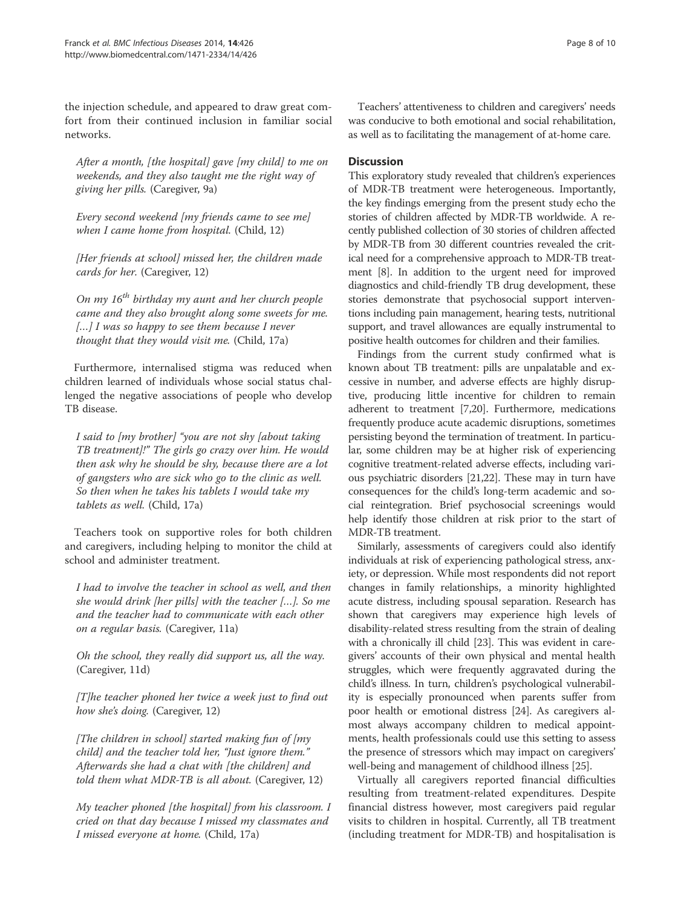the injection schedule, and appeared to draw great comfort from their continued inclusion in familiar social networks.

After a month, [the hospital] gave [my child] to me on weekends, and they also taught me the right way of giving her pills. (Caregiver, 9a)

Every second weekend [my friends came to see me] when I came home from hospital. (Child, 12)

[Her friends at school] missed her, the children made cards for her. (Caregiver, 12)

On my  $16^{th}$  birthday my aunt and her church people came and they also brought along some sweets for me. [...] I was so happy to see them because I never thought that they would visit me. (Child, 17a)

Furthermore, internalised stigma was reduced when children learned of individuals whose social status challenged the negative associations of people who develop TB disease.

I said to [my brother] "you are not shy [about taking TB treatment]!" The girls go crazy over him. He would then ask why he should be shy, because there are a lot of gangsters who are sick who go to the clinic as well. So then when he takes his tablets I would take my tablets as well. (Child, 17a)

Teachers took on supportive roles for both children and caregivers, including helping to monitor the child at school and administer treatment.

I had to involve the teacher in school as well, and then she would drink [her pills] with the teacher […]. So me and the teacher had to communicate with each other on a regular basis. (Caregiver, 11a)

Oh the school, they really did support us, all the way. (Caregiver, 11d)

[T]he teacher phoned her twice a week just to find out how she's doing. (Caregiver, 12)

[The children in school] started making fun of [my child] and the teacher told her, "Just ignore them." Afterwards she had a chat with [the children] and told them what MDR-TB is all about. (Caregiver, 12)

My teacher phoned [the hospital] from his classroom. I cried on that day because I missed my classmates and I missed everyone at home. (Child, 17a)

Teachers' attentiveness to children and caregivers' needs was conducive to both emotional and social rehabilitation, as well as to facilitating the management of at-home care.

# **Discussion**

This exploratory study revealed that children's experiences of MDR-TB treatment were heterogeneous. Importantly, the key findings emerging from the present study echo the stories of children affected by MDR-TB worldwide. A recently published collection of 30 stories of children affected by MDR-TB from 30 different countries revealed the critical need for a comprehensive approach to MDR-TB treatment [8]. In addition to the urgent need for improved diagnostics and child-friendly TB drug development, these stories demonstrate that psychosocial support interventions including pain management, hearing tests, nutritional support, and travel allowances are equally instrumental to positive health outcomes for children and their families.

Findings from the current study confirmed what is known about TB treatment: pills are unpalatable and excessive in number, and adverse effects are highly disruptive, producing little incentive for children to remain adherent to treatment [7,20]. Furthermore, medications frequently produce acute academic disruptions, sometimes persisting beyond the termination of treatment. In particular, some children may be at higher risk of experiencing cognitive treatment-related adverse effects, including various psychiatric disorders [21,22]. These may in turn have consequences for the child's long-term academic and social reintegration. Brief psychosocial screenings would help identify those children at risk prior to the start of MDR-TB treatment.

Similarly, assessments of caregivers could also identify individuals at risk of experiencing pathological stress, anxiety, or depression. While most respondents did not report changes in family relationships, a minority highlighted acute distress, including spousal separation. Research has shown that caregivers may experience high levels of disability-related stress resulting from the strain of dealing with a chronically ill child [23]. This was evident in caregivers' accounts of their own physical and mental health struggles, which were frequently aggravated during the child's illness. In turn, children's psychological vulnerability is especially pronounced when parents suffer from poor health or emotional distress [24]. As caregivers almost always accompany children to medical appointments, health professionals could use this setting to assess the presence of stressors which may impact on caregivers' well-being and management of childhood illness [25].

Virtually all caregivers reported financial difficulties resulting from treatment-related expenditures. Despite financial distress however, most caregivers paid regular visits to children in hospital. Currently, all TB treatment (including treatment for MDR-TB) and hospitalisation is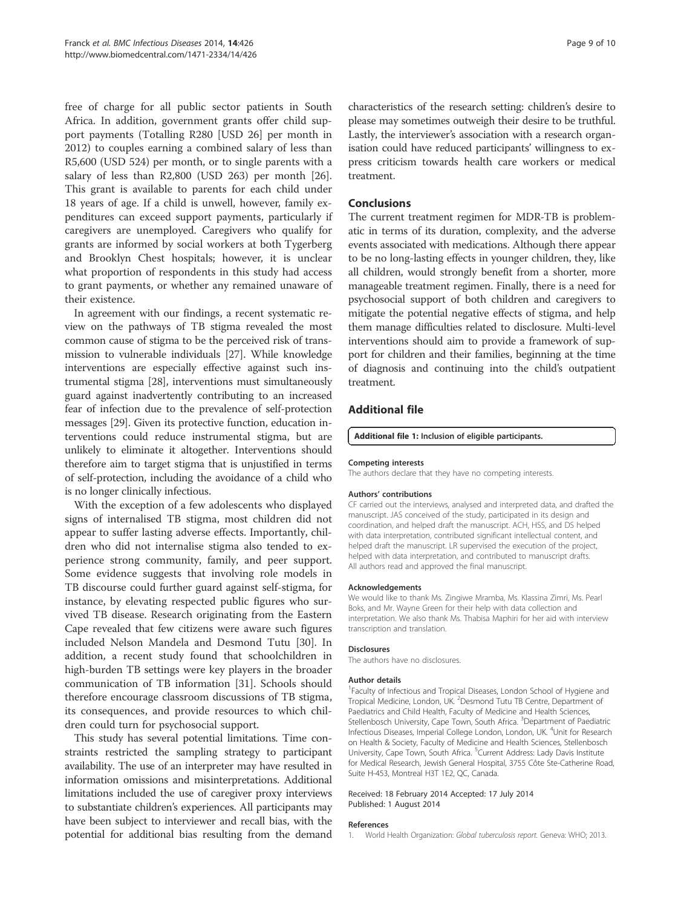free of charge for all public sector patients in South Africa. In addition, government grants offer child support payments (Totalling R280 [USD 26] per month in 2012) to couples earning a combined salary of less than R5,600 (USD 524) per month, or to single parents with a salary of less than R2,800 (USD 263) per month [26]. This grant is available to parents for each child under 18 years of age. If a child is unwell, however, family expenditures can exceed support payments, particularly if caregivers are unemployed. Caregivers who qualify for grants are informed by social workers at both Tygerberg and Brooklyn Chest hospitals; however, it is unclear what proportion of respondents in this study had access to grant payments, or whether any remained unaware of their existence.

In agreement with our findings, a recent systematic review on the pathways of TB stigma revealed the most common cause of stigma to be the perceived risk of transmission to vulnerable individuals [27]. While knowledge interventions are especially effective against such instrumental stigma [28], interventions must simultaneously guard against inadvertently contributing to an increased fear of infection due to the prevalence of self-protection messages [29]. Given its protective function, education interventions could reduce instrumental stigma, but are unlikely to eliminate it altogether. Interventions should therefore aim to target stigma that is unjustified in terms of self-protection, including the avoidance of a child who is no longer clinically infectious.

With the exception of a few adolescents who displayed signs of internalised TB stigma, most children did not appear to suffer lasting adverse effects. Importantly, children who did not internalise stigma also tended to experience strong community, family, and peer support. Some evidence suggests that involving role models in TB discourse could further guard against self-stigma, for instance, by elevating respected public figures who survived TB disease. Research originating from the Eastern Cape revealed that few citizens were aware such figures included Nelson Mandela and Desmond Tutu [30]. In addition, a recent study found that schoolchildren in high-burden TB settings were key players in the broader communication of TB information [31]. Schools should therefore encourage classroom discussions of TB stigma, its consequences, and provide resources to which children could turn for psychosocial support.

This study has several potential limitations. Time constraints restricted the sampling strategy to participant availability. The use of an interpreter may have resulted in information omissions and misinterpretations. Additional limitations included the use of caregiver proxy interviews to substantiate children's experiences. All participants may have been subject to interviewer and recall bias, with the potential for additional bias resulting from the demand

characteristics of the research setting: children's desire to please may sometimes outweigh their desire to be truthful. Lastly, the interviewer's association with a research organisation could have reduced participants' willingness to express criticism towards health care workers or medical treatment.

#### Conclusions

The current treatment regimen for MDR-TB is problematic in terms of its duration, complexity, and the adverse events associated with medications. Although there appear to be no long-lasting effects in younger children, they, like all children, would strongly benefit from a shorter, more manageable treatment regimen. Finally, there is a need for psychosocial support of both children and caregivers to mitigate the potential negative effects of stigma, and help them manage difficulties related to disclosure. Multi-level interventions should aim to provide a framework of support for children and their families, beginning at the time of diagnosis and continuing into the child's outpatient treatment.

# Additional file

#### Additional file 1: Inclusion of eligible participants.

#### Competing interests

The authors declare that they have no competing interests.

#### Authors' contributions

CF carried out the interviews, analysed and interpreted data, and drafted the manuscript. JAS conceived of the study, participated in its design and coordination, and helped draft the manuscript. ACH, HSS, and DS helped with data interpretation, contributed significant intellectual content, and helped draft the manuscript. LR supervised the execution of the project, helped with data interpretation, and contributed to manuscript drafts. All authors read and approved the final manuscript.

#### Acknowledgements

We would like to thank Ms. Zingiwe Mramba, Ms. Klassina Zimri, Ms. Pearl Boks, and Mr. Wayne Green for their help with data collection and interpretation. We also thank Ms. Thabisa Maphiri for her aid with interview transcription and translation.

#### Disclosures

The authors have no disclosures.

#### Author details

<sup>1</sup> Faculty of Infectious and Tropical Diseases, London School of Hygiene and Tropical Medicine, London, UK. <sup>2</sup>Desmond Tutu TB Centre, Department of Paediatrics and Child Health, Faculty of Medicine and Health Sciences, Stellenbosch University, Cape Town, South Africa. <sup>3</sup>Department of Paediatric Infectious Diseases, Imperial College London, London, UK. <sup>4</sup>Unit for Research on Health & Society, Faculty of Medicine and Health Sciences, Stellenbosch University, Cape Town, South Africa. <sup>5</sup>Current Address: Lady Davis Institute for Medical Research, Jewish General Hospital, 3755 Côte Ste-Catherine Road, Suite H-453, Montreal H3T 1E2, QC, Canada.

#### Received: 18 February 2014 Accepted: 17 July 2014 Published: 1 August 2014

#### References

1. World Health Organization: Global tuberculosis report. Geneva: WHO; 2013.